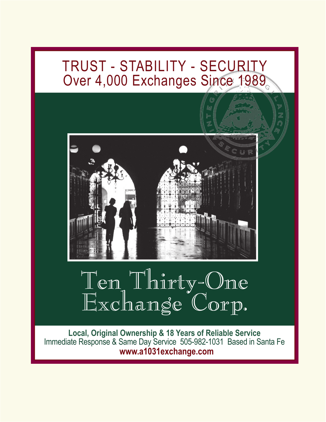## TRUST - STABILITY - SECURITY Over 4,000 Exchanges Since 1989



# Ten Thirty-One Exchange Corp.

**Local, Original Ownership & 18 Years of Reliable Service** Immediate Response & Same Day Service 505-982-1031 Based in Santa Fe  **www.a1031exchange.com**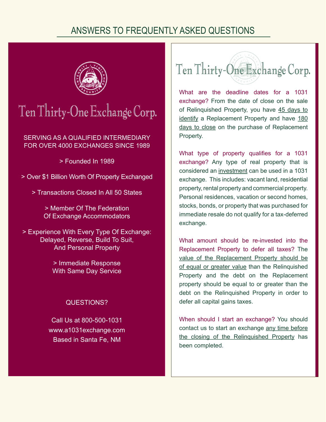## ANSWERS TO FREQUENTLY ASKED QUESTIONS



## Ten Thirty-One Exchange Corp.

SERVING AS A QUALIFIED INTERMEDIARY FOR OVER 4000 EXCHANGES SINCE 1989

> Founded In 1989

- > Over \$1 Billion Worth Of Property Exchanged
	- > Transactions Closed In All 50 States

> Member Of The Federation Of Exchange Accommodators

> Experience With Every Type Of Exchange: Delayed, Reverse, Build To Suit, And Personal Property

> > Immediate Response With Same Day Service

## QUESTIONS?

Call Us at 800-500-1031 www.a1031exchange.com Based in Santa Fe, NM



What are the deadline dates for a 1031 exchange? From the date of close on the sale of Relinquished Property, you have 45 days to identify a Replacement Property and have 180 days to close on the purchase of Replacement Property.

What type of property qualifies for a 1031 exchange? Any type of real property that is considered an investment can be used in a 1031 exchange. This includes: vacant land, residential property, rental property and commercial property. Personal residences, vacation or second homes, stocks, bonds, or property that was purchased for immediate resale do not qualify for a tax-deferred exchange.

What amount should be re-invested into the Replacement Property to defer all taxes? The value of the Replacement Property should be of equal or greater value than the Relinquished Property and the debt on the Replacement property should be equal to or greater than the debt on the Relinquished Property in order to defer all capital gains taxes.

When should I start an exchange? You should contact us to start an exchange any time before the closing of the Relinquished Property has been completed.